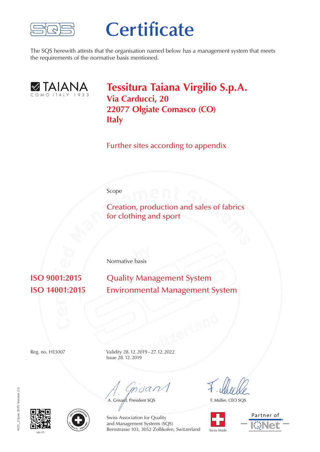

## **Certificate**

The SQS herewith attests that the organisation named below has a management system that meets the requirements of the normative basis mentioned.



**Tessitura Taiana Virgilio S.p.A. Via Carducci, 20 22077 Olgiate Comasco (CO) Italy**

Further sites according to appendix

Scope

**Scope**<br> **Creation, production and sales of fabrics**<br> **for clothing and sport** Creation, production and sales of fabrics for clothing and sport

**by** Normative basis

**ti ISO 9001:2015**  **Quality Management System Environmental Management System** 

**Switzerland** Reg. no. H13007 Validity 28.12.2019–27.12.2022 Issue 28.12.2019

mdan

A. Grisard, President SQS

F. Müller, CEO SQS









Swiss Association for Quality and Management Systems (SQS) Bernstrasse 103, 3052 Zollikofen, Switzerland